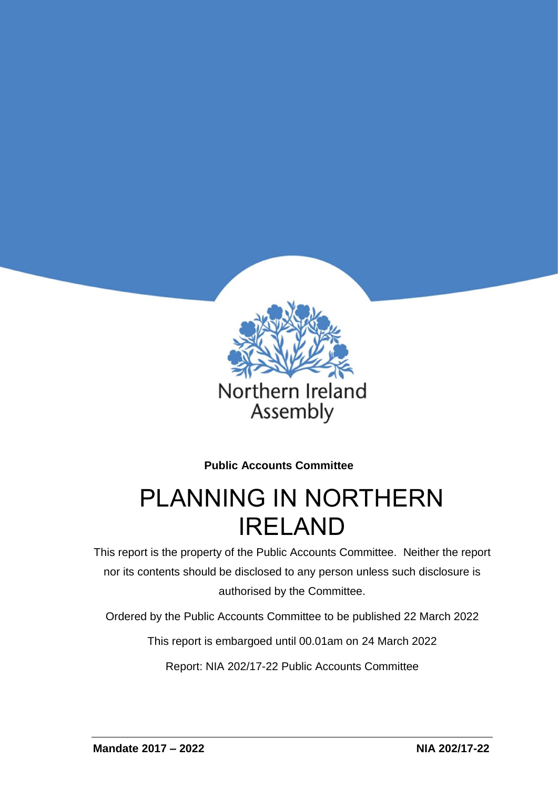

**Public Accounts Committee**

# PLANNING IN NORTHERN IRELAND

This report is the property of the Public Accounts Committee. Neither the report nor its contents should be disclosed to any person unless such disclosure is authorised by the Committee.

Ordered by the Public Accounts Committee to be published 22 March 2022

This report is embargoed until 00.01am on 24 March 2022

Report: NIA 202/17-22 Public Accounts Committee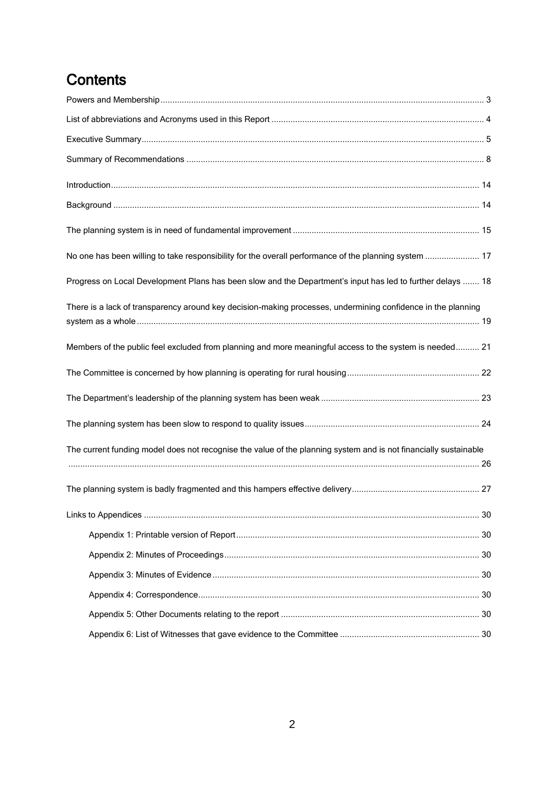# **Contents**

| No one has been willing to take responsibility for the overall performance of the planning system  17            |  |
|------------------------------------------------------------------------------------------------------------------|--|
| Progress on Local Development Plans has been slow and the Department's input has led to further delays  18       |  |
| There is a lack of transparency around key decision-making processes, undermining confidence in the planning     |  |
| Members of the public feel excluded from planning and more meaningful access to the system is needed 21          |  |
|                                                                                                                  |  |
|                                                                                                                  |  |
|                                                                                                                  |  |
| The current funding model does not recognise the value of the planning system and is not financially sustainable |  |
|                                                                                                                  |  |
|                                                                                                                  |  |
|                                                                                                                  |  |
|                                                                                                                  |  |
|                                                                                                                  |  |
|                                                                                                                  |  |
|                                                                                                                  |  |
|                                                                                                                  |  |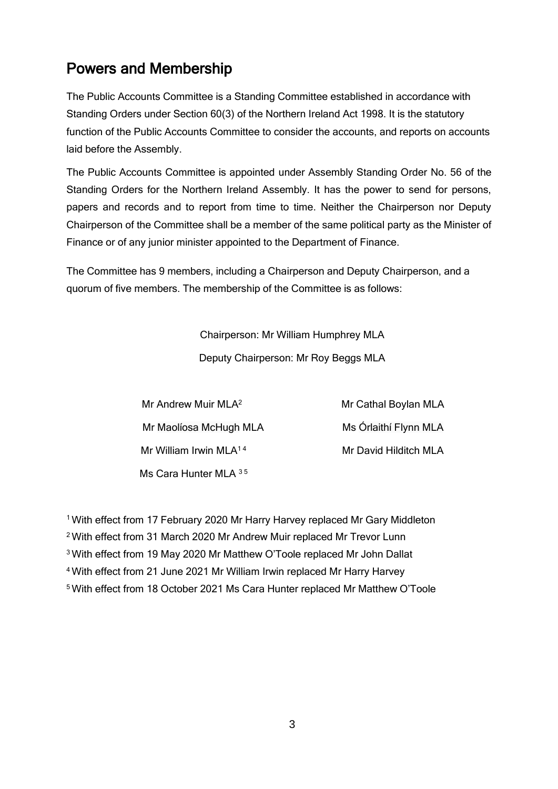# <span id="page-2-0"></span>Powers and Membership

The Public Accounts Committee is a Standing Committee established in accordance with Standing Orders under Section 60(3) of the Northern Ireland Act 1998. It is the statutory function of the Public Accounts Committee to consider the accounts, and reports on accounts laid before the Assembly.

The Public Accounts Committee is appointed under Assembly Standing Order No. 56 of the Standing Orders for the Northern Ireland Assembly. It has the power to send for persons, papers and records and to report from time to time. Neither the Chairperson nor Deputy Chairperson of the Committee shall be a member of the same political party as the Minister of Finance or of any junior minister appointed to the Department of Finance.

The Committee has 9 members, including a Chairperson and Deputy Chairperson, and a quorum of five members. The membership of the Committee is as follows:

> Chairperson: Mr William Humphrey MLA Deputy Chairperson: Mr Roy Beggs MLA

| Mr Andrew Muir MLA <sup>2</sup>    | Mr Cathal Boylan MLA  |
|------------------------------------|-----------------------|
| Mr Maolíosa McHugh MLA             | Ms Órlaithí Flynn MLA |
| Mr William Irwin MLA <sup>14</sup> | Mr David Hilditch MLA |
| Ms Cara Hunter MLA 35              |                       |

With effect from 17 February 2020 Mr Harry Harvey replaced Mr Gary Middleton With effect from 31 March 2020 Mr Andrew Muir replaced Mr Trevor Lunn With effect from 19 May 2020 Mr Matthew O'Toole replaced Mr John Dallat With effect from 21 June 2021 Mr William Irwin replaced Mr Harry Harvey With effect from 18 October 2021 Ms Cara Hunter replaced Mr Matthew O'Toole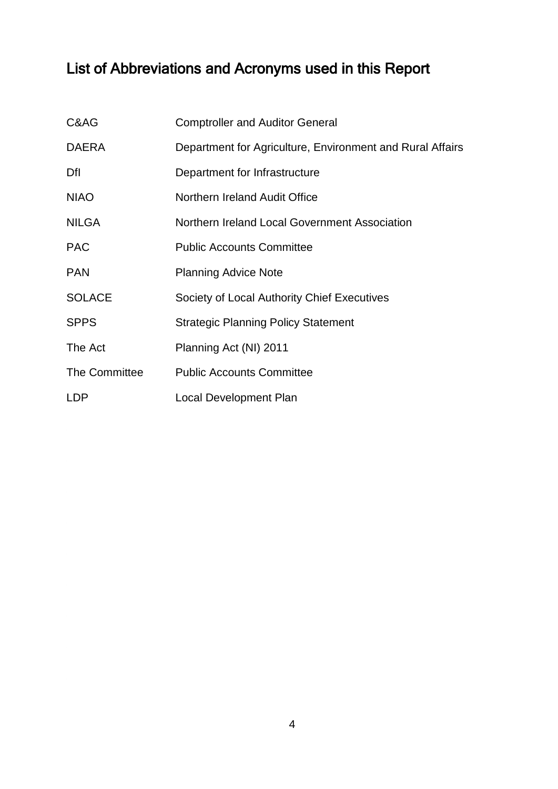# <span id="page-3-0"></span>List of Abbreviations and Acronyms used in this Report

| C&AG          | <b>Comptroller and Auditor General</b>                    |
|---------------|-----------------------------------------------------------|
| <b>DAERA</b>  | Department for Agriculture, Environment and Rural Affairs |
| Dfl           | Department for Infrastructure                             |
| <b>NIAO</b>   | Northern Ireland Audit Office                             |
| <b>NILGA</b>  | Northern Ireland Local Government Association             |
| <b>PAC</b>    | <b>Public Accounts Committee</b>                          |
| <b>PAN</b>    | <b>Planning Advice Note</b>                               |
| <b>SOLACE</b> | Society of Local Authority Chief Executives               |
| <b>SPPS</b>   | <b>Strategic Planning Policy Statement</b>                |
| The Act       | Planning Act (NI) 2011                                    |
| The Committee | <b>Public Accounts Committee</b>                          |
| <b>LDP</b>    | <b>Local Development Plan</b>                             |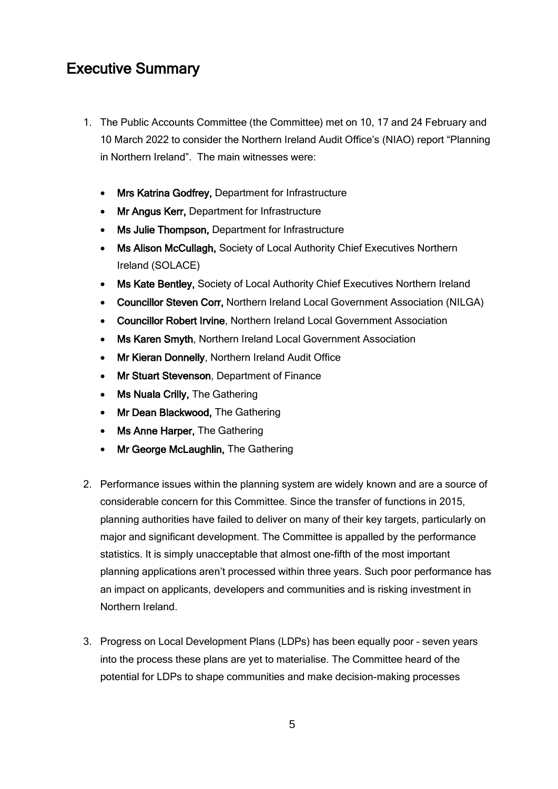## <span id="page-4-0"></span>Executive Summary

- 1. The Public Accounts Committee (the Committee) met on 10, 17 and 24 February and 10 March 2022 to consider the Northern Ireland Audit Office's (NIAO) report "Planning in Northern Ireland". The main witnesses were:
	- Mrs Katrina Godfrey, Department for Infrastructure
	- Mr Angus Kerr, Department for Infrastructure
	- Ms Julie Thompson, Department for Infrastructure
	- Ms Alison McCullagh, Society of Local Authority Chief Executives Northern Ireland (SOLACE)
	- Ms Kate Bentley, Society of Local Authority Chief Executives Northern Ireland
	- Councillor Steven Corr, Northern Ireland Local Government Association (NILGA)
	- Councillor Robert Irvine, Northern Ireland Local Government Association
	- Ms Karen Smyth, Northern Ireland Local Government Association
	- Mr Kieran Donnelly, Northern Ireland Audit Office
	- Mr Stuart Stevenson, Department of Finance
	- Ms Nuala Crilly, The Gathering
	- Mr Dean Blackwood, The Gathering
	- Ms Anne Harper, The Gathering
	- Mr George McLaughlin, The Gathering
- 2. Performance issues within the planning system are widely known and are a source of considerable concern for this Committee. Since the transfer of functions in 2015, planning authorities have failed to deliver on many of their key targets, particularly on major and significant development. The Committee is appalled by the performance statistics. It is simply unacceptable that almost one-fifth of the most important planning applications aren't processed within three years. Such poor performance has an impact on applicants, developers and communities and is risking investment in Northern Ireland.
- 3. Progress on Local Development Plans (LDPs) has been equally poor seven years into the process these plans are yet to materialise. The Committee heard of the potential for LDPs to shape communities and make decision-making processes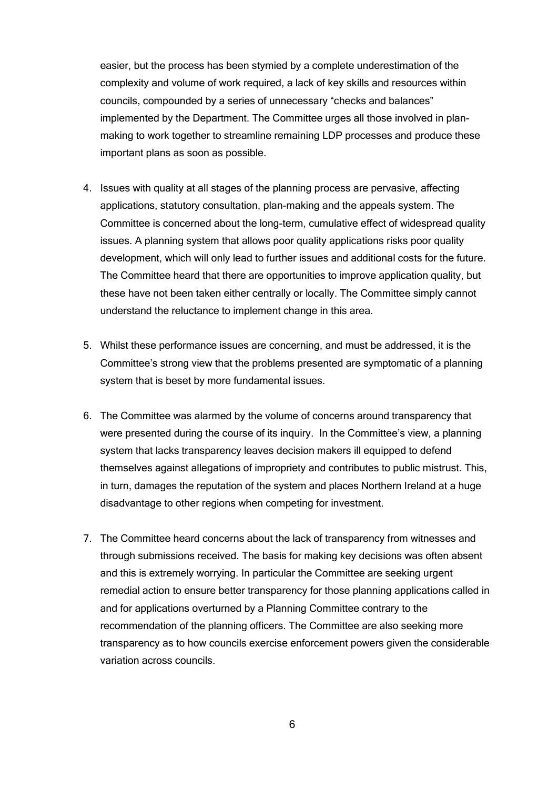easier, but the process has been stymied by a complete underestimation of the complexity and volume of work required, a lack of key skills and resources within councils, compounded by a series of unnecessary "checks and balances" implemented by the Department. The Committee urges all those involved in planmaking to work together to streamline remaining LDP processes and produce these important plans as soon as possible.

- 4. Issues with quality at all stages of the planning process are pervasive, affecting applications, statutory consultation, plan-making and the appeals system. The Committee is concerned about the long-term, cumulative effect of widespread quality issues. A planning system that allows poor quality applications risks poor quality development, which will only lead to further issues and additional costs for the future. The Committee heard that there are opportunities to improve application quality, but these have not been taken either centrally or locally. The Committee simply cannot understand the reluctance to implement change in this area.
- 5. Whilst these performance issues are concerning, and must be addressed, it is the Committee's strong view that the problems presented are symptomatic of a planning system that is beset by more fundamental issues.
- 6. The Committee was alarmed by the volume of concerns around transparency that were presented during the course of its inquiry. In the Committee's view, a planning system that lacks transparency leaves decision makers ill equipped to defend themselves against allegations of impropriety and contributes to public mistrust. This, in turn, damages the reputation of the system and places Northern Ireland at a huge disadvantage to other regions when competing for investment.
- 7. The Committee heard concerns about the lack of transparency from witnesses and through submissions received. The basis for making key decisions was often absent and this is extremely worrying. In particular the Committee are seeking urgent remedial action to ensure better transparency for those planning applications called in and for applications overturned by a Planning Committee contrary to the recommendation of the planning officers. The Committee are also seeking more transparency as to how councils exercise enforcement powers given the considerable variation across councils.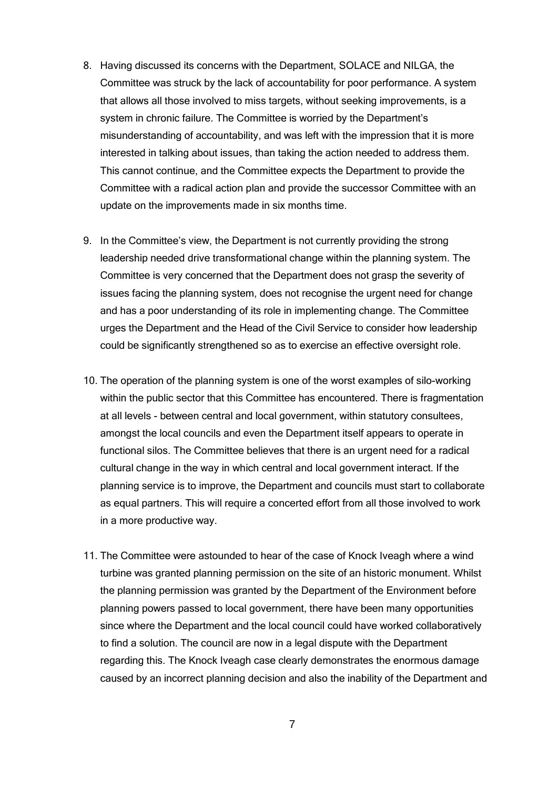- 8. Having discussed its concerns with the Department, SOLACE and NILGA, the Committee was struck by the lack of accountability for poor performance. A system that allows all those involved to miss targets, without seeking improvements, is a system in chronic failure. The Committee is worried by the Department's misunderstanding of accountability, and was left with the impression that it is more interested in talking about issues, than taking the action needed to address them. This cannot continue, and the Committee expects the Department to provide the Committee with a radical action plan and provide the successor Committee with an update on the improvements made in six months time.
- 9. In the Committee's view, the Department is not currently providing the strong leadership needed drive transformational change within the planning system. The Committee is very concerned that the Department does not grasp the severity of issues facing the planning system, does not recognise the urgent need for change and has a poor understanding of its role in implementing change. The Committee urges the Department and the Head of the Civil Service to consider how leadership could be significantly strengthened so as to exercise an effective oversight role.
- 10. The operation of the planning system is one of the worst examples of silo-working within the public sector that this Committee has encountered. There is fragmentation at all levels - between central and local government, within statutory consultees, amongst the local councils and even the Department itself appears to operate in functional silos. The Committee believes that there is an urgent need for a radical cultural change in the way in which central and local government interact. If the planning service is to improve, the Department and councils must start to collaborate as equal partners. This will require a concerted effort from all those involved to work in a more productive way.
- 11. The Committee were astounded to hear of the case of Knock Iveagh where a wind turbine was granted planning permission on the site of an historic monument. Whilst the planning permission was granted by the Department of the Environment before planning powers passed to local government, there have been many opportunities since where the Department and the local council could have worked collaboratively to find a solution. The council are now in a legal dispute with the Department regarding this. The Knock Iveagh case clearly demonstrates the enormous damage caused by an incorrect planning decision and also the inability of the Department and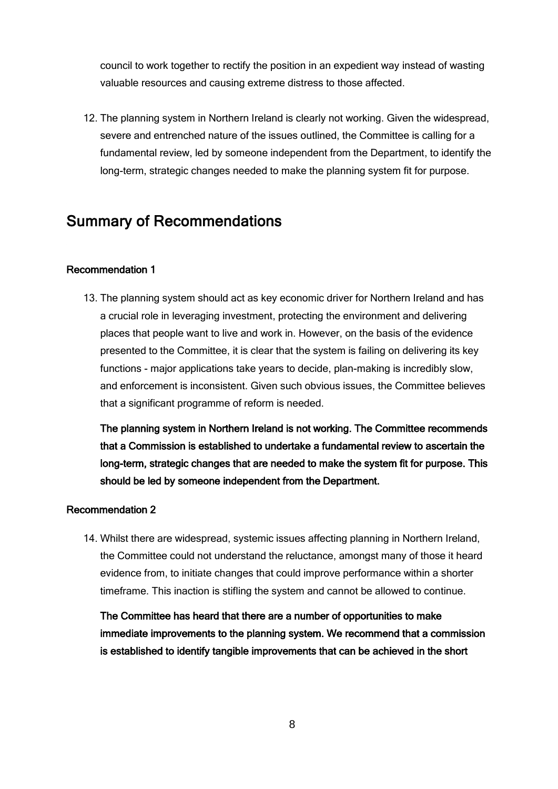council to work together to rectify the position in an expedient way instead of wasting valuable resources and causing extreme distress to those affected.

12. The planning system in Northern Ireland is clearly not working. Given the widespread, severe and entrenched nature of the issues outlined, the Committee is calling for a fundamental review, led by someone independent from the Department, to identify the long-term, strategic changes needed to make the planning system fit for purpose.

## <span id="page-7-0"></span>Summary of Recommendations

#### Recommendation 1

13. The planning system should act as key economic driver for Northern Ireland and has a crucial role in leveraging investment, protecting the environment and delivering places that people want to live and work in. However, on the basis of the evidence presented to the Committee, it is clear that the system is failing on delivering its key functions - major applications take years to decide, plan-making is incredibly slow, and enforcement is inconsistent. Given such obvious issues, the Committee believes that a significant programme of reform is needed.

The planning system in Northern Ireland is not working. The Committee recommends that a Commission is established to undertake a fundamental review to ascertain the long-term, strategic changes that are needed to make the system fit for purpose. This should be led by someone independent from the Department.

### Recommendation 2

14. Whilst there are widespread, systemic issues affecting planning in Northern Ireland, the Committee could not understand the reluctance, amongst many of those it heard evidence from, to initiate changes that could improve performance within a shorter timeframe. This inaction is stifling the system and cannot be allowed to continue.

The Committee has heard that there are a number of opportunities to make immediate improvements to the planning system. We recommend that a commission is established to identify tangible improvements that can be achieved in the short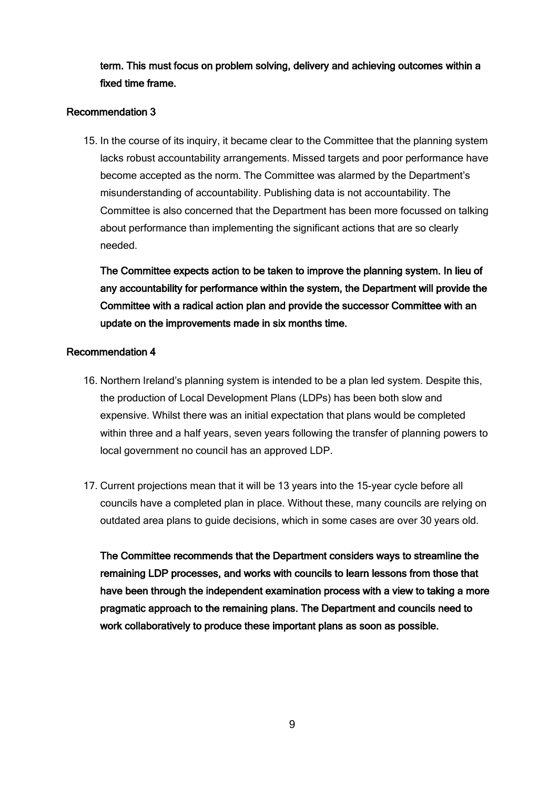term. This must focus on problem solving, delivery and achieving outcomes within a fixed time frame.

#### Recommendation 3

15. In the course of its inquiry, it became clear to the Committee that the planning system lacks robust accountability arrangements. Missed targets and poor performance have become accepted as the norm. The Committee was alarmed by the Department's misunderstanding of accountability. Publishing data is not accountability. The Committee is also concerned that the Department has been more focussed on talking about performance than implementing the significant actions that are so clearly needed.

The Committee expects action to be taken to improve the planning system. In lieu of any accountability for performance within the system, the Department will provide the Committee with a radical action plan and provide the successor Committee with an update on the improvements made in six months time.

#### Recommendation 4

- 16. Northern Ireland's planning system is intended to be a plan led system. Despite this, the production of Local Development Plans (LDPs) has been both slow and expensive. Whilst there was an initial expectation that plans would be completed within three and a half years, seven years following the transfer of planning powers to local government no council has an approved LDP.
- 17. Current projections mean that it will be 13 years into the 15-year cycle before all councils have a completed plan in place. Without these, many councils are relying on outdated area plans to guide decisions, which in some cases are over 30 years old.

The Committee recommends that the Department considers ways to streamline the remaining LDP processes, and works with councils to learn lessons from those that have been through the independent examination process with a view to taking a more pragmatic approach to the remaining plans. The Department and councils need to work collaboratively to produce these important plans as soon as possible.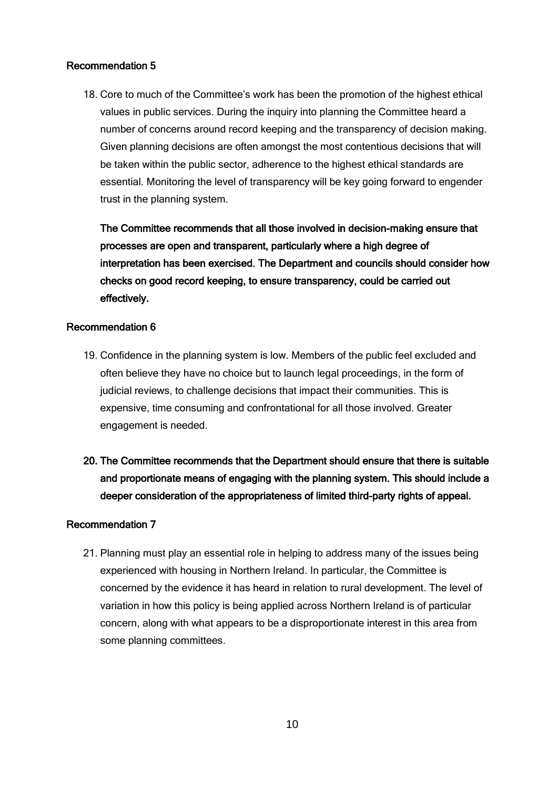#### Recommendation 5

18. Core to much of the Committee's work has been the promotion of the highest ethical values in public services. During the inquiry into planning the Committee heard a number of concerns around record keeping and the transparency of decision making. Given planning decisions are often amongst the most contentious decisions that will be taken within the public sector, adherence to the highest ethical standards are essential. Monitoring the level of transparency will be key going forward to engender trust in the planning system.

The Committee recommends that all those involved in decision-making ensure that processes are open and transparent, particularly where a high degree of interpretation has been exercised. The Department and councils should consider how checks on good record keeping, to ensure transparency, could be carried out effectively.

### Recommendation 6

- 19. Confidence in the planning system is low. Members of the public feel excluded and often believe they have no choice but to launch legal proceedings, in the form of judicial reviews, to challenge decisions that impact their communities. This is expensive, time consuming and confrontational for all those involved. Greater engagement is needed.
- 20. The Committee recommends that the Department should ensure that there is suitable and proportionate means of engaging with the planning system. This should include a deeper consideration of the appropriateness of limited third-party rights of appeal.

#### Recommendation 7

21. Planning must play an essential role in helping to address many of the issues being experienced with housing in Northern Ireland. In particular, the Committee is concerned by the evidence it has heard in relation to rural development. The level of variation in how this policy is being applied across Northern Ireland is of particular concern, along with what appears to be a disproportionate interest in this area from some planning committees.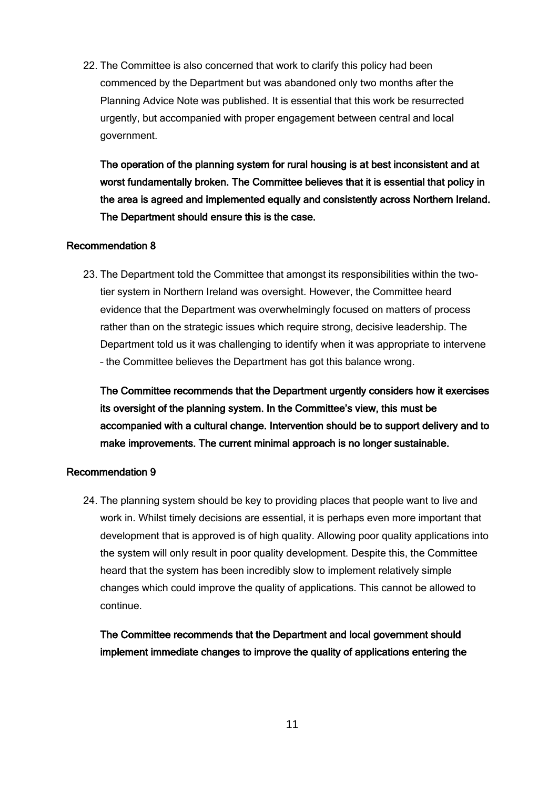22. The Committee is also concerned that work to clarify this policy had been commenced by the Department but was abandoned only two months after the Planning Advice Note was published. It is essential that this work be resurrected urgently, but accompanied with proper engagement between central and local government.

The operation of the planning system for rural housing is at best inconsistent and at worst fundamentally broken. The Committee believes that it is essential that policy in the area is agreed and implemented equally and consistently across Northern Ireland. The Department should ensure this is the case.

#### Recommendation 8

23. The Department told the Committee that amongst its responsibilities within the twotier system in Northern Ireland was oversight. However, the Committee heard evidence that the Department was overwhelmingly focused on matters of process rather than on the strategic issues which require strong, decisive leadership. The Department told us it was challenging to identify when it was appropriate to intervene – the Committee believes the Department has got this balance wrong.

The Committee recommends that the Department urgently considers how it exercises its oversight of the planning system. In the Committee's view, this must be accompanied with a cultural change. Intervention should be to support delivery and to make improvements. The current minimal approach is no longer sustainable.

#### Recommendation 9

24. The planning system should be key to providing places that people want to live and work in. Whilst timely decisions are essential, it is perhaps even more important that development that is approved is of high quality. Allowing poor quality applications into the system will only result in poor quality development. Despite this, the Committee heard that the system has been incredibly slow to implement relatively simple changes which could improve the quality of applications. This cannot be allowed to continue.

The Committee recommends that the Department and local government should implement immediate changes to improve the quality of applications entering the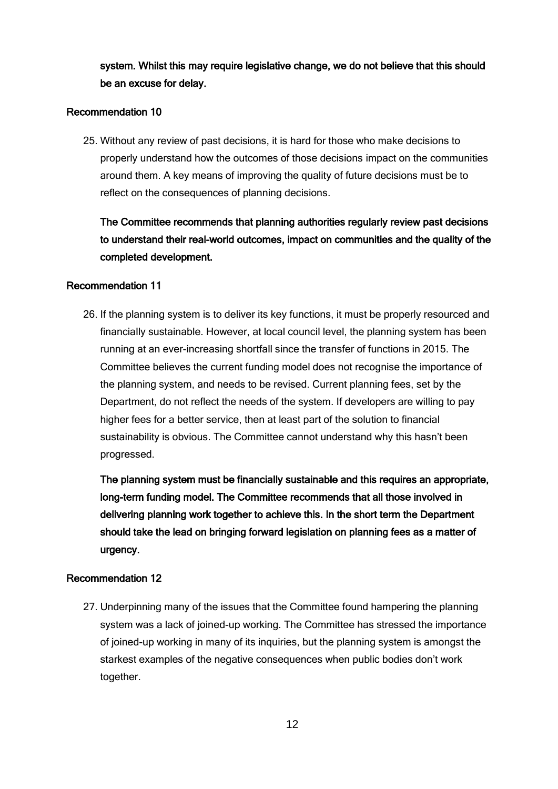system. Whilst this may require legislative change, we do not believe that this should be an excuse for delay.

#### Recommendation 10

25. Without any review of past decisions, it is hard for those who make decisions to properly understand how the outcomes of those decisions impact on the communities around them. A key means of improving the quality of future decisions must be to reflect on the consequences of planning decisions.

The Committee recommends that planning authorities regularly review past decisions to understand their real-world outcomes, impact on communities and the quality of the completed development.

#### Recommendation 11

26. If the planning system is to deliver its key functions, it must be properly resourced and financially sustainable. However, at local council level, the planning system has been running at an ever-increasing shortfall since the transfer of functions in 2015. The Committee believes the current funding model does not recognise the importance of the planning system, and needs to be revised. Current planning fees, set by the Department, do not reflect the needs of the system. If developers are willing to pay higher fees for a better service, then at least part of the solution to financial sustainability is obvious. The Committee cannot understand why this hasn't been progressed.

The planning system must be financially sustainable and this requires an appropriate, long-term funding model. The Committee recommends that all those involved in delivering planning work together to achieve this. In the short term the Department should take the lead on bringing forward legislation on planning fees as a matter of urgency.

### Recommendation 12

27. Underpinning many of the issues that the Committee found hampering the planning system was a lack of joined-up working. The Committee has stressed the importance of joined-up working in many of its inquiries, but the planning system is amongst the starkest examples of the negative consequences when public bodies don't work together.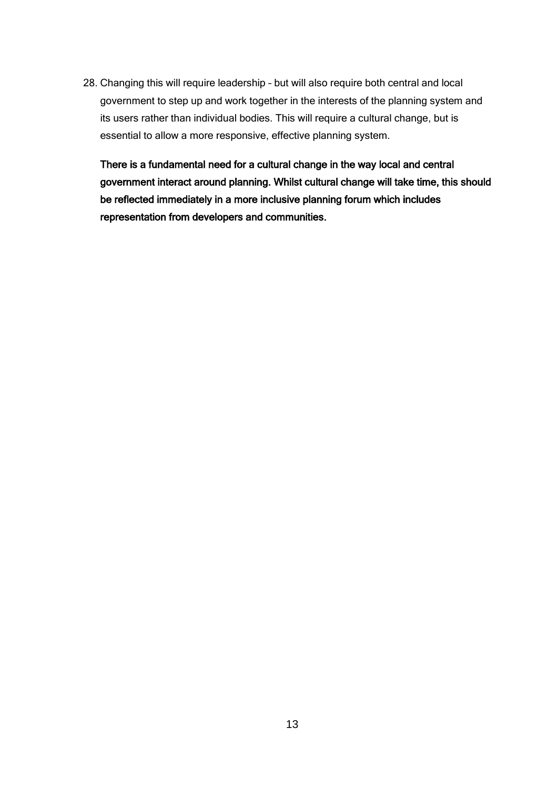28. Changing this will require leadership – but will also require both central and local government to step up and work together in the interests of the planning system and its users rather than individual bodies. This will require a cultural change, but is essential to allow a more responsive, effective planning system.

There is a fundamental need for a cultural change in the way local and central government interact around planning. Whilst cultural change will take time, this should be reflected immediately in a more inclusive planning forum which includes representation from developers and communities.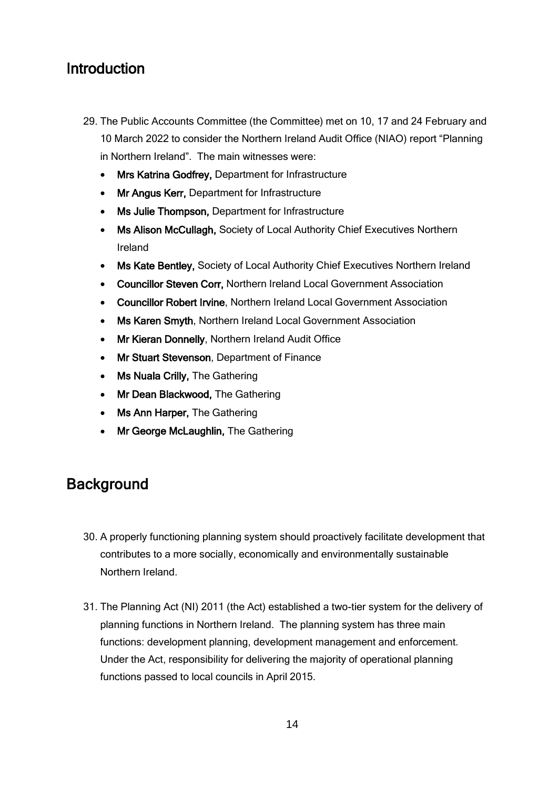## <span id="page-13-0"></span>**Introduction**

- 29. The Public Accounts Committee (the Committee) met on 10, 17 and 24 February and 10 March 2022 to consider the Northern Ireland Audit Office (NIAO) report "Planning in Northern Ireland". The main witnesses were:
	- Mrs Katrina Godfrey, Department for Infrastructure
	- Mr Angus Kerr, Department for Infrastructure
	- Ms Julie Thompson, Department for Infrastructure
	- Ms Alison McCullagh, Society of Local Authority Chief Executives Northern Ireland
	- Ms Kate Bentley, Society of Local Authority Chief Executives Northern Ireland
	- Councillor Steven Corr, Northern Ireland Local Government Association
	- Councillor Robert Irvine, Northern Ireland Local Government Association
	- Ms Karen Smyth, Northern Ireland Local Government Association
	- Mr Kieran Donnelly, Northern Ireland Audit Office
	- Mr Stuart Stevenson, Department of Finance
	- Ms Nuala Crilly, The Gathering
	- Mr Dean Blackwood, The Gathering
	- **Ms Ann Harper, The Gathering**
	- Mr George McLaughlin, The Gathering

# <span id="page-13-1"></span>**Background**

- 30. A properly functioning planning system should proactively facilitate development that contributes to a more socially, economically and environmentally sustainable Northern Ireland.
- 31. The Planning Act (NI) 2011 (the Act) established a two-tier system for the delivery of planning functions in Northern Ireland. The planning system has three main functions: development planning, development management and enforcement. Under the Act, responsibility for delivering the majority of operational planning functions passed to local councils in April 2015.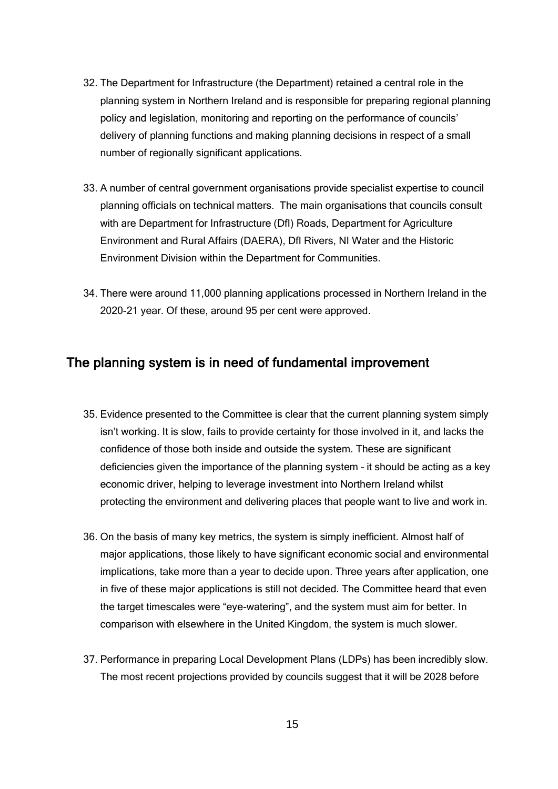- 32. The Department for Infrastructure (the Department) retained a central role in the planning system in Northern Ireland and is responsible for preparing regional planning policy and legislation, monitoring and reporting on the performance of councils' delivery of planning functions and making planning decisions in respect of a small number of regionally significant applications.
- 33. A number of central government organisations provide specialist expertise to council planning officials on technical matters. The main organisations that councils consult with are Department for Infrastructure (DfI) Roads, Department for Agriculture Environment and Rural Affairs (DAERA), DfI Rivers, NI Water and the Historic Environment Division within the Department for Communities.
- 34. There were around 11,000 planning applications processed in Northern Ireland in the 2020-21 year. Of these, around 95 per cent were approved.

## <span id="page-14-0"></span>The planning system is in need of fundamental improvement

- 35. Evidence presented to the Committee is clear that the current planning system simply isn't working. It is slow, fails to provide certainty for those involved in it, and lacks the confidence of those both inside and outside the system. These are significant deficiencies given the importance of the planning system – it should be acting as a key economic driver, helping to leverage investment into Northern Ireland whilst protecting the environment and delivering places that people want to live and work in.
- 36. On the basis of many key metrics, the system is simply inefficient. Almost half of major applications, those likely to have significant economic social and environmental implications, take more than a year to decide upon. Three years after application, one in five of these major applications is still not decided. The Committee heard that even the target timescales were "eye-watering", and the system must aim for better. In comparison with elsewhere in the United Kingdom, the system is much slower.
- 37. Performance in preparing Local Development Plans (LDPs) has been incredibly slow. The most recent projections provided by councils suggest that it will be 2028 before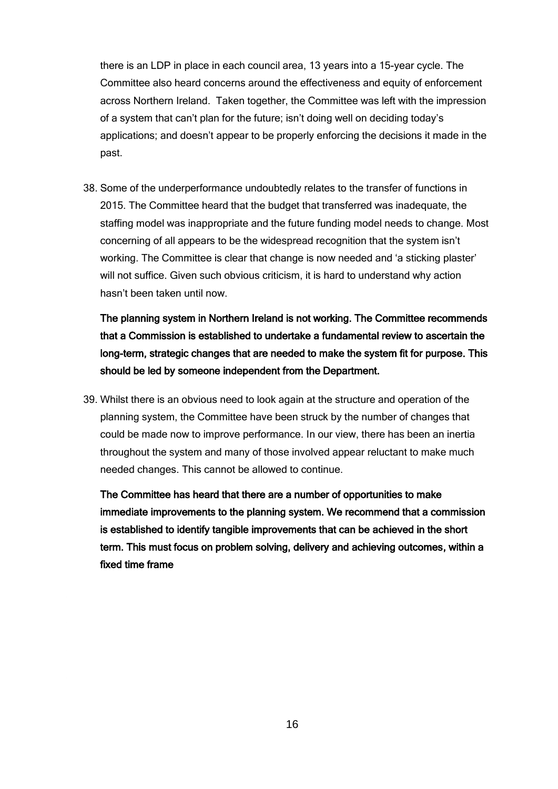there is an LDP in place in each council area, 13 years into a 15-year cycle. The Committee also heard concerns around the effectiveness and equity of enforcement across Northern Ireland. Taken together, the Committee was left with the impression of a system that can't plan for the future; isn't doing well on deciding today's applications; and doesn't appear to be properly enforcing the decisions it made in the past.

38. Some of the underperformance undoubtedly relates to the transfer of functions in 2015. The Committee heard that the budget that transferred was inadequate, the staffing model was inappropriate and the future funding model needs to change. Most concerning of all appears to be the widespread recognition that the system isn't working. The Committee is clear that change is now needed and 'a sticking plaster' will not suffice. Given such obvious criticism, it is hard to understand why action hasn't been taken until now.

The planning system in Northern Ireland is not working. The Committee recommends that a Commission is established to undertake a fundamental review to ascertain the long-term, strategic changes that are needed to make the system fit for purpose. This should be led by someone independent from the Department.

39. Whilst there is an obvious need to look again at the structure and operation of the planning system, the Committee have been struck by the number of changes that could be made now to improve performance. In our view, there has been an inertia throughout the system and many of those involved appear reluctant to make much needed changes. This cannot be allowed to continue.

The Committee has heard that there are a number of opportunities to make immediate improvements to the planning system. We recommend that a commission is established to identify tangible improvements that can be achieved in the short term. This must focus on problem solving, delivery and achieving outcomes, within a fixed time frame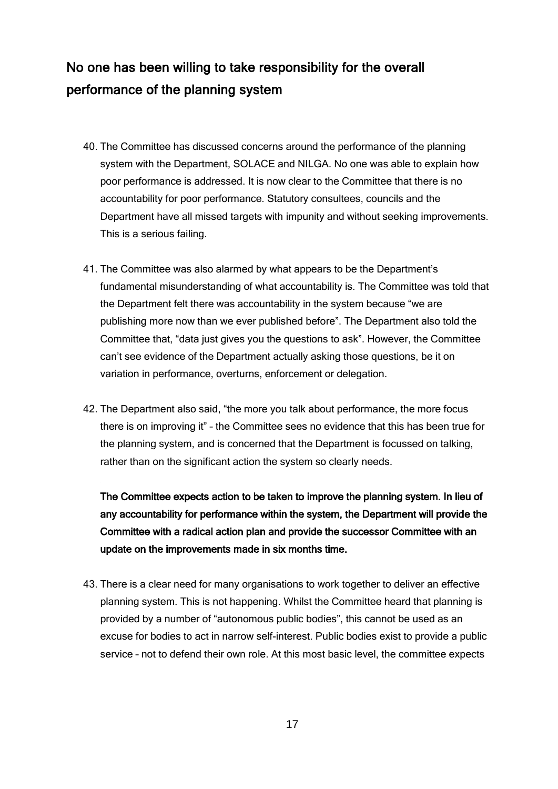# <span id="page-16-0"></span>No one has been willing to take responsibility for the overall performance of the planning system

- 40. The Committee has discussed concerns around the performance of the planning system with the Department, SOLACE and NILGA. No one was able to explain how poor performance is addressed. It is now clear to the Committee that there is no accountability for poor performance. Statutory consultees, councils and the Department have all missed targets with impunity and without seeking improvements. This is a serious failing.
- 41. The Committee was also alarmed by what appears to be the Department's fundamental misunderstanding of what accountability is. The Committee was told that the Department felt there was accountability in the system because "we are publishing more now than we ever published before". The Department also told the Committee that, "data just gives you the questions to ask". However, the Committee can't see evidence of the Department actually asking those questions, be it on variation in performance, overturns, enforcement or delegation.
- 42. The Department also said, "the more you talk about performance, the more focus there is on improving it" – the Committee sees no evidence that this has been true for the planning system, and is concerned that the Department is focussed on talking, rather than on the significant action the system so clearly needs.

The Committee expects action to be taken to improve the planning system. In lieu of any accountability for performance within the system, the Department will provide the Committee with a radical action plan and provide the successor Committee with an update on the improvements made in six months time.

43. There is a clear need for many organisations to work together to deliver an effective planning system. This is not happening. Whilst the Committee heard that planning is provided by a number of "autonomous public bodies", this cannot be used as an excuse for bodies to act in narrow self-interest. Public bodies exist to provide a public service – not to defend their own role. At this most basic level, the committee expects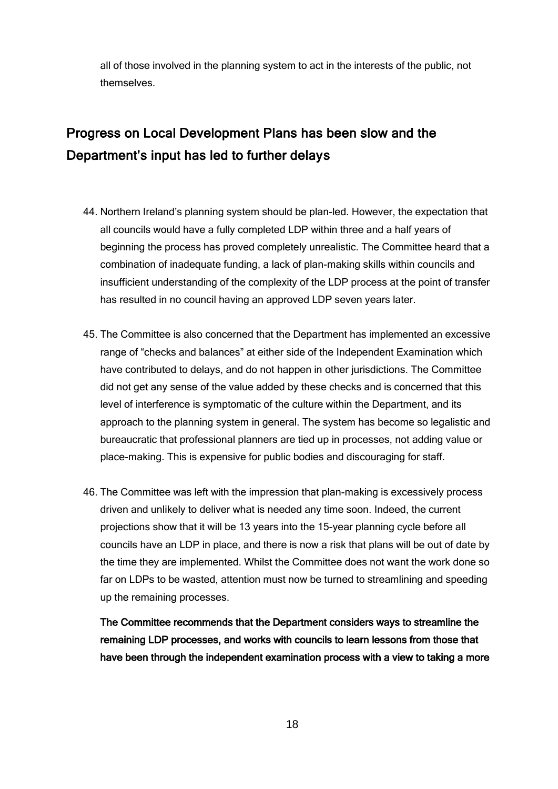all of those involved in the planning system to act in the interests of the public, not themselves.

# <span id="page-17-0"></span>Progress on Local Development Plans has been slow and the Department's input has led to further delays

- 44. Northern Ireland's planning system should be plan-led. However, the expectation that all councils would have a fully completed LDP within three and a half years of beginning the process has proved completely unrealistic. The Committee heard that a combination of inadequate funding, a lack of plan-making skills within councils and insufficient understanding of the complexity of the LDP process at the point of transfer has resulted in no council having an approved LDP seven years later.
- 45. The Committee is also concerned that the Department has implemented an excessive range of "checks and balances" at either side of the Independent Examination which have contributed to delays, and do not happen in other jurisdictions. The Committee did not get any sense of the value added by these checks and is concerned that this level of interference is symptomatic of the culture within the Department, and its approach to the planning system in general. The system has become so legalistic and bureaucratic that professional planners are tied up in processes, not adding value or place-making. This is expensive for public bodies and discouraging for staff.
- 46. The Committee was left with the impression that plan-making is excessively process driven and unlikely to deliver what is needed any time soon. Indeed, the current projections show that it will be 13 years into the 15-year planning cycle before all councils have an LDP in place, and there is now a risk that plans will be out of date by the time they are implemented. Whilst the Committee does not want the work done so far on LDPs to be wasted, attention must now be turned to streamlining and speeding up the remaining processes.

The Committee recommends that the Department considers ways to streamline the remaining LDP processes, and works with councils to learn lessons from those that have been through the independent examination process with a view to taking a more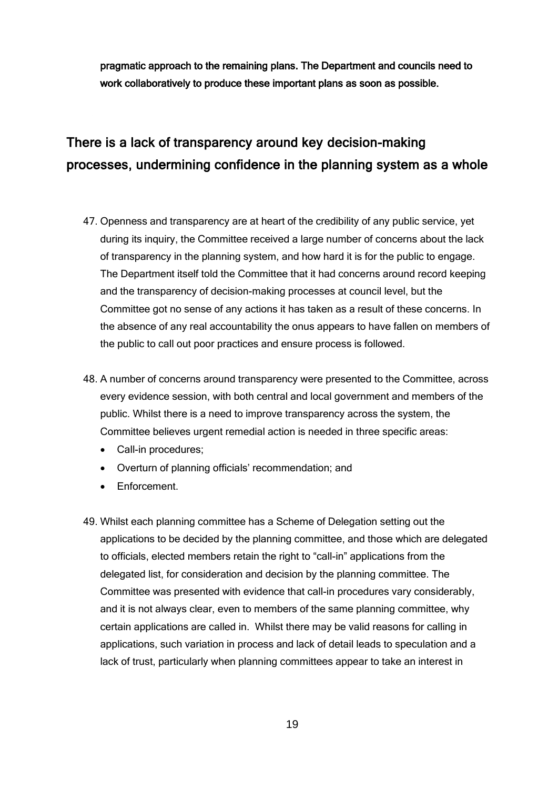pragmatic approach to the remaining plans. The Department and councils need to work collaboratively to produce these important plans as soon as possible.

# <span id="page-18-0"></span>There is a lack of transparency around key decision-making processes, undermining confidence in the planning system as a whole

- 47. Openness and transparency are at heart of the credibility of any public service, yet during its inquiry, the Committee received a large number of concerns about the lack of transparency in the planning system, and how hard it is for the public to engage. The Department itself told the Committee that it had concerns around record keeping and the transparency of decision-making processes at council level, but the Committee got no sense of any actions it has taken as a result of these concerns. In the absence of any real accountability the onus appears to have fallen on members of the public to call out poor practices and ensure process is followed.
- 48. A number of concerns around transparency were presented to the Committee, across every evidence session, with both central and local government and members of the public. Whilst there is a need to improve transparency across the system, the Committee believes urgent remedial action is needed in three specific areas:
	- Call-in procedures;
	- Overturn of planning officials' recommendation; and
	- Enforcement.
- 49. Whilst each planning committee has a Scheme of Delegation setting out the applications to be decided by the planning committee, and those which are delegated to officials, elected members retain the right to "call-in" applications from the delegated list, for consideration and decision by the planning committee. The Committee was presented with evidence that call-in procedures vary considerably, and it is not always clear, even to members of the same planning committee, why certain applications are called in. Whilst there may be valid reasons for calling in applications, such variation in process and lack of detail leads to speculation and a lack of trust, particularly when planning committees appear to take an interest in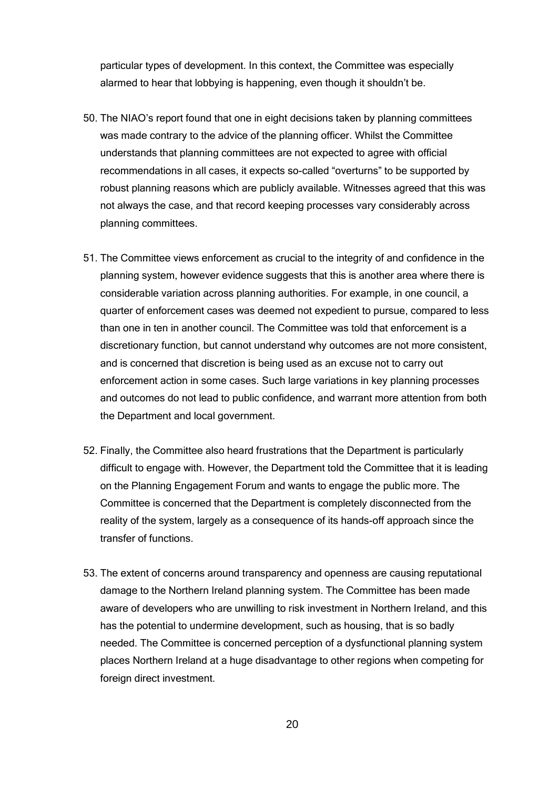particular types of development. In this context, the Committee was especially alarmed to hear that lobbying is happening, even though it shouldn't be.

- 50. The NIAO's report found that one in eight decisions taken by planning committees was made contrary to the advice of the planning officer. Whilst the Committee understands that planning committees are not expected to agree with official recommendations in all cases, it expects so-called "overturns" to be supported by robust planning reasons which are publicly available. Witnesses agreed that this was not always the case, and that record keeping processes vary considerably across planning committees.
- 51. The Committee views enforcement as crucial to the integrity of and confidence in the planning system, however evidence suggests that this is another area where there is considerable variation across planning authorities. For example, in one council, a quarter of enforcement cases was deemed not expedient to pursue, compared to less than one in ten in another council. The Committee was told that enforcement is a discretionary function, but cannot understand why outcomes are not more consistent, and is concerned that discretion is being used as an excuse not to carry out enforcement action in some cases. Such large variations in key planning processes and outcomes do not lead to public confidence, and warrant more attention from both the Department and local government.
- 52. Finally, the Committee also heard frustrations that the Department is particularly difficult to engage with. However, the Department told the Committee that it is leading on the Planning Engagement Forum and wants to engage the public more. The Committee is concerned that the Department is completely disconnected from the reality of the system, largely as a consequence of its hands-off approach since the transfer of functions.
- 53. The extent of concerns around transparency and openness are causing reputational damage to the Northern Ireland planning system. The Committee has been made aware of developers who are unwilling to risk investment in Northern Ireland, and this has the potential to undermine development, such as housing, that is so badly needed. The Committee is concerned perception of a dysfunctional planning system places Northern Ireland at a huge disadvantage to other regions when competing for foreign direct investment.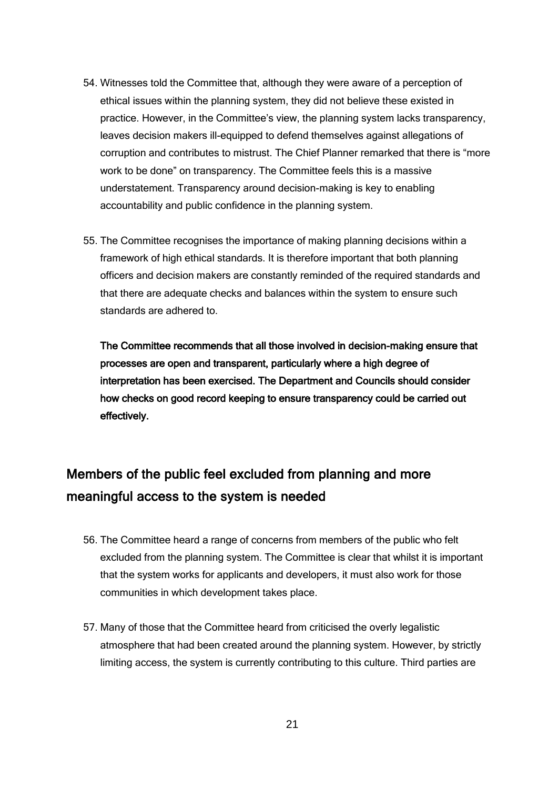- 54. Witnesses told the Committee that, although they were aware of a perception of ethical issues within the planning system, they did not believe these existed in practice. However, in the Committee's view, the planning system lacks transparency, leaves decision makers ill-equipped to defend themselves against allegations of corruption and contributes to mistrust. The Chief Planner remarked that there is "more work to be done" on transparency. The Committee feels this is a massive understatement. Transparency around decision-making is key to enabling accountability and public confidence in the planning system.
- 55. The Committee recognises the importance of making planning decisions within a framework of high ethical standards. It is therefore important that both planning officers and decision makers are constantly reminded of the required standards and that there are adequate checks and balances within the system to ensure such standards are adhered to.

The Committee recommends that all those involved in decision-making ensure that processes are open and transparent, particularly where a high degree of interpretation has been exercised. The Department and Councils should consider how checks on good record keeping to ensure transparency could be carried out effectively.

# <span id="page-20-0"></span>Members of the public feel excluded from planning and more meaningful access to the system is needed

- 56. The Committee heard a range of concerns from members of the public who felt excluded from the planning system. The Committee is clear that whilst it is important that the system works for applicants and developers, it must also work for those communities in which development takes place.
- 57. Many of those that the Committee heard from criticised the overly legalistic atmosphere that had been created around the planning system. However, by strictly limiting access, the system is currently contributing to this culture. Third parties are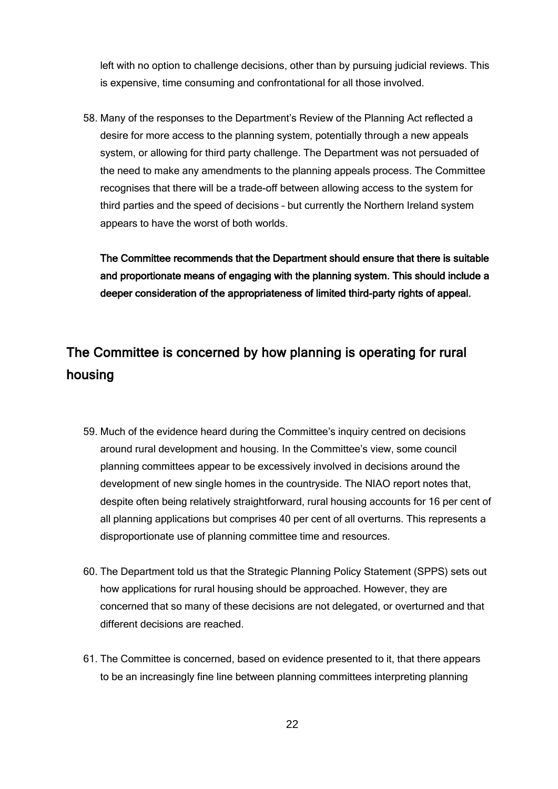left with no option to challenge decisions, other than by pursuing judicial reviews. This is expensive, time consuming and confrontational for all those involved.

58. Many of the responses to the Department's Review of the Planning Act reflected a desire for more access to the planning system, potentially through a new appeals system, or allowing for third party challenge. The Department was not persuaded of the need to make any amendments to the planning appeals process. The Committee recognises that there will be a trade-off between allowing access to the system for third parties and the speed of decisions – but currently the Northern Ireland system appears to have the worst of both worlds.

The Committee recommends that the Department should ensure that there is suitable and proportionate means of engaging with the planning system. This should include a deeper consideration of the appropriateness of limited third-party rights of appeal.

## <span id="page-21-0"></span>The Committee is concerned by how planning is operating for rural housing

- 59. Much of the evidence heard during the Committee's inquiry centred on decisions around rural development and housing. In the Committee's view, some council planning committees appear to be excessively involved in decisions around the development of new single homes in the countryside. The NIAO report notes that, despite often being relatively straightforward, rural housing accounts for 16 per cent of all planning applications but comprises 40 per cent of all overturns. This represents a disproportionate use of planning committee time and resources.
- 60. The Department told us that the Strategic Planning Policy Statement (SPPS) sets out how applications for rural housing should be approached. However, they are concerned that so many of these decisions are not delegated, or overturned and that different decisions are reached.
- 61. The Committee is concerned, based on evidence presented to it, that there appears to be an increasingly fine line between planning committees interpreting planning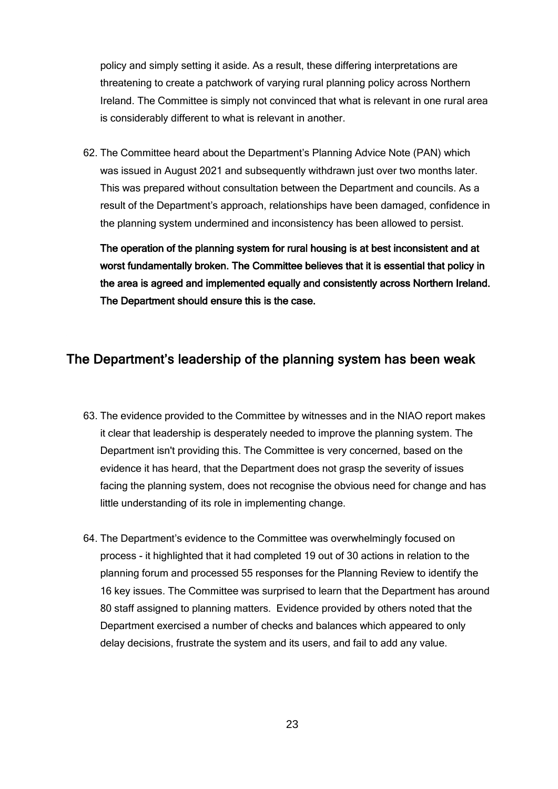policy and simply setting it aside. As a result, these differing interpretations are threatening to create a patchwork of varying rural planning policy across Northern Ireland. The Committee is simply not convinced that what is relevant in one rural area is considerably different to what is relevant in another.

62. The Committee heard about the Department's Planning Advice Note (PAN) which was issued in August 2021 and subsequently withdrawn just over two months later. This was prepared without consultation between the Department and councils. As a result of the Department's approach, relationships have been damaged, confidence in the planning system undermined and inconsistency has been allowed to persist.

The operation of the planning system for rural housing is at best inconsistent and at worst fundamentally broken. The Committee believes that it is essential that policy in the area is agreed and implemented equally and consistently across Northern Ireland. The Department should ensure this is the case.

## <span id="page-22-0"></span>The Department's leadership of the planning system has been weak

- 63. The evidence provided to the Committee by witnesses and in the NIAO report makes it clear that leadership is desperately needed to improve the planning system. The Department isn't providing this. The Committee is very concerned, based on the evidence it has heard, that the Department does not grasp the severity of issues facing the planning system, does not recognise the obvious need for change and has little understanding of its role in implementing change.
- 64. The Department's evidence to the Committee was overwhelmingly focused on process - it highlighted that it had completed 19 out of 30 actions in relation to the planning forum and processed 55 responses for the Planning Review to identify the 16 key issues. The Committee was surprised to learn that the Department has around 80 staff assigned to planning matters. Evidence provided by others noted that the Department exercised a number of checks and balances which appeared to only delay decisions, frustrate the system and its users, and fail to add any value.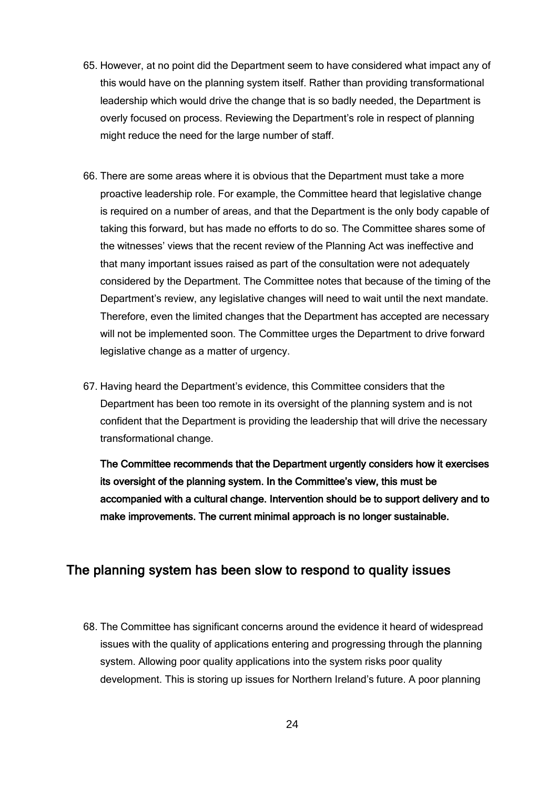- 65. However, at no point did the Department seem to have considered what impact any of this would have on the planning system itself. Rather than providing transformational leadership which would drive the change that is so badly needed, the Department is overly focused on process. Reviewing the Department's role in respect of planning might reduce the need for the large number of staff.
- 66. There are some areas where it is obvious that the Department must take a more proactive leadership role. For example, the Committee heard that legislative change is required on a number of areas, and that the Department is the only body capable of taking this forward, but has made no efforts to do so. The Committee shares some of the witnesses' views that the recent review of the Planning Act was ineffective and that many important issues raised as part of the consultation were not adequately considered by the Department. The Committee notes that because of the timing of the Department's review, any legislative changes will need to wait until the next mandate. Therefore, even the limited changes that the Department has accepted are necessary will not be implemented soon. The Committee urges the Department to drive forward legislative change as a matter of urgency.
- 67. Having heard the Department's evidence, this Committee considers that the Department has been too remote in its oversight of the planning system and is not confident that the Department is providing the leadership that will drive the necessary transformational change.

The Committee recommends that the Department urgently considers how it exercises its oversight of the planning system. In the Committee's view, this must be accompanied with a cultural change. Intervention should be to support delivery and to make improvements. The current minimal approach is no longer sustainable.

## <span id="page-23-0"></span>The planning system has been slow to respond to quality issues

68. The Committee has significant concerns around the evidence it heard of widespread issues with the quality of applications entering and progressing through the planning system. Allowing poor quality applications into the system risks poor quality development. This is storing up issues for Northern Ireland's future. A poor planning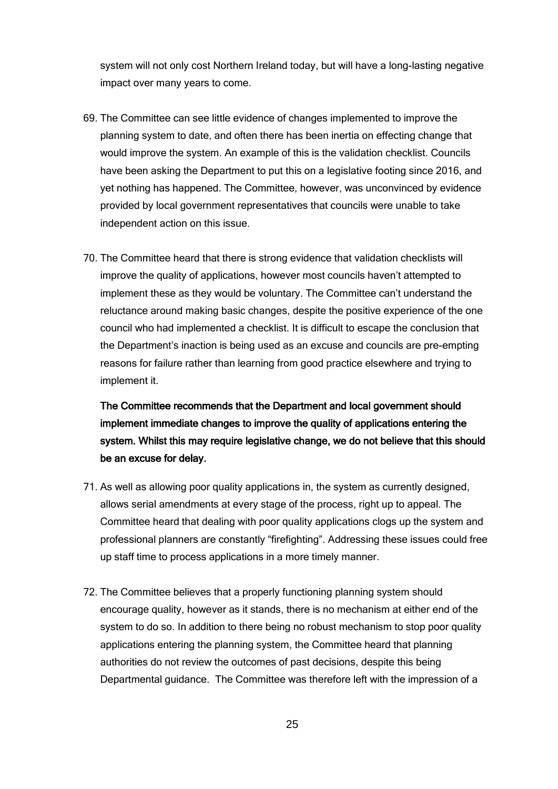system will not only cost Northern Ireland today, but will have a long-lasting negative impact over many years to come.

- 69. The Committee can see little evidence of changes implemented to improve the planning system to date, and often there has been inertia on effecting change that would improve the system. An example of this is the validation checklist. Councils have been asking the Department to put this on a legislative footing since 2016, and yet nothing has happened. The Committee, however, was unconvinced by evidence provided by local government representatives that councils were unable to take independent action on this issue.
- 70. The Committee heard that there is strong evidence that validation checklists will improve the quality of applications, however most councils haven't attempted to implement these as they would be voluntary. The Committee can't understand the reluctance around making basic changes, despite the positive experience of the one council who had implemented a checklist. It is difficult to escape the conclusion that the Department's inaction is being used as an excuse and councils are pre-empting reasons for failure rather than learning from good practice elsewhere and trying to implement it.

The Committee recommends that the Department and local government should implement immediate changes to improve the quality of applications entering the system. Whilst this may require legislative change, we do not believe that this should be an excuse for delay.

- 71. As well as allowing poor quality applications in, the system as currently designed, allows serial amendments at every stage of the process, right up to appeal. The Committee heard that dealing with poor quality applications clogs up the system and professional planners are constantly "firefighting". Addressing these issues could free up staff time to process applications in a more timely manner.
- 72. The Committee believes that a properly functioning planning system should encourage quality, however as it stands, there is no mechanism at either end of the system to do so. In addition to there being no robust mechanism to stop poor quality applications entering the planning system, the Committee heard that planning authorities do not review the outcomes of past decisions, despite this being Departmental guidance. The Committee was therefore left with the impression of a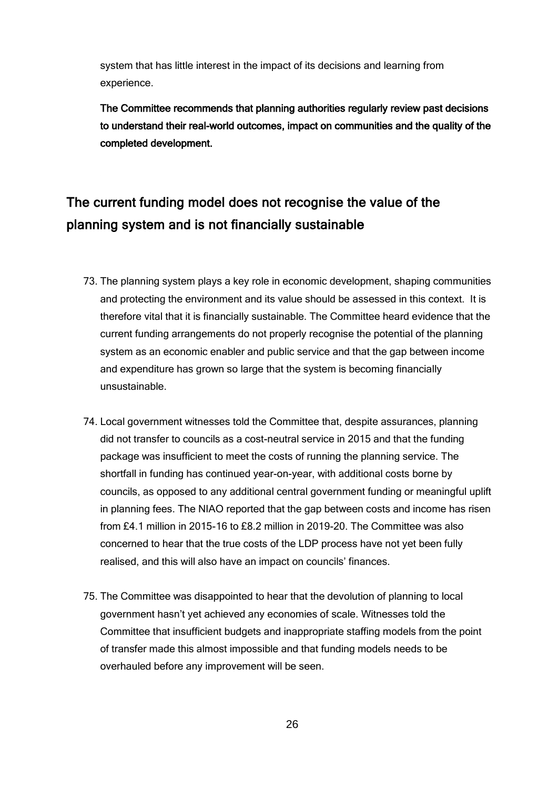system that has little interest in the impact of its decisions and learning from experience.

The Committee recommends that planning authorities regularly review past decisions to understand their real-world outcomes, impact on communities and the quality of the completed development.

# <span id="page-25-0"></span>The current funding model does not recognise the value of the planning system and is not financially sustainable

- 73. The planning system plays a key role in economic development, shaping communities and protecting the environment and its value should be assessed in this context. It is therefore vital that it is financially sustainable. The Committee heard evidence that the current funding arrangements do not properly recognise the potential of the planning system as an economic enabler and public service and that the gap between income and expenditure has grown so large that the system is becoming financially unsustainable.
- 74. Local government witnesses told the Committee that, despite assurances, planning did not transfer to councils as a cost-neutral service in 2015 and that the funding package was insufficient to meet the costs of running the planning service. The shortfall in funding has continued year-on-year, with additional costs borne by councils, as opposed to any additional central government funding or meaningful uplift in planning fees. The NIAO reported that the gap between costs and income has risen from £4.1 million in 2015-16 to £8.2 million in 2019-20. The Committee was also concerned to hear that the true costs of the LDP process have not yet been fully realised, and this will also have an impact on councils' finances.
- 75. The Committee was disappointed to hear that the devolution of planning to local government hasn't yet achieved any economies of scale. Witnesses told the Committee that insufficient budgets and inappropriate staffing models from the point of transfer made this almost impossible and that funding models needs to be overhauled before any improvement will be seen.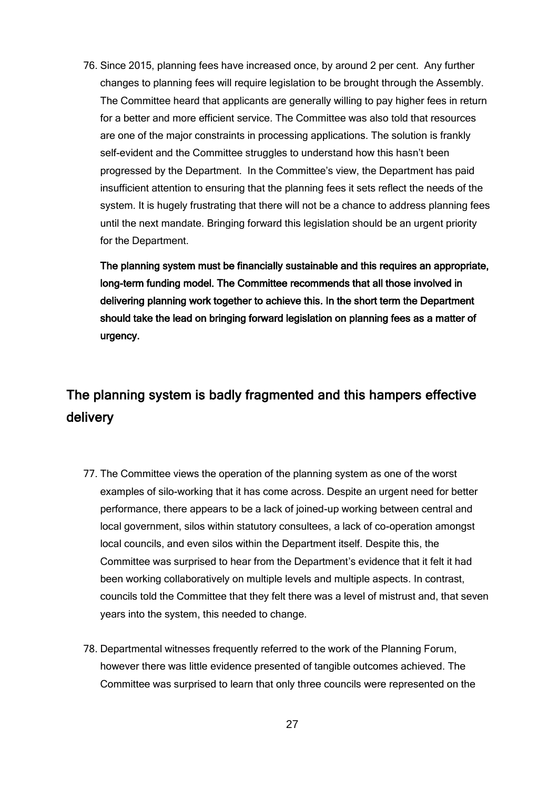76. Since 2015, planning fees have increased once, by around 2 per cent. Any further changes to planning fees will require legislation to be brought through the Assembly. The Committee heard that applicants are generally willing to pay higher fees in return for a better and more efficient service. The Committee was also told that resources are one of the major constraints in processing applications. The solution is frankly self-evident and the Committee struggles to understand how this hasn't been progressed by the Department. In the Committee's view, the Department has paid insufficient attention to ensuring that the planning fees it sets reflect the needs of the system. It is hugely frustrating that there will not be a chance to address planning fees until the next mandate. Bringing forward this legislation should be an urgent priority for the Department.

The planning system must be financially sustainable and this requires an appropriate, long-term funding model. The Committee recommends that all those involved in delivering planning work together to achieve this. In the short term the Department should take the lead on bringing forward legislation on planning fees as a matter of urgency.

# <span id="page-26-0"></span>The planning system is badly fragmented and this hampers effective delivery

- 77. The Committee views the operation of the planning system as one of the worst examples of silo-working that it has come across. Despite an urgent need for better performance, there appears to be a lack of joined-up working between central and local government, silos within statutory consultees, a lack of co-operation amongst local councils, and even silos within the Department itself. Despite this, the Committee was surprised to hear from the Department's evidence that it felt it had been working collaboratively on multiple levels and multiple aspects. In contrast, councils told the Committee that they felt there was a level of mistrust and, that seven years into the system, this needed to change.
- 78. Departmental witnesses frequently referred to the work of the Planning Forum, however there was little evidence presented of tangible outcomes achieved. The Committee was surprised to learn that only three councils were represented on the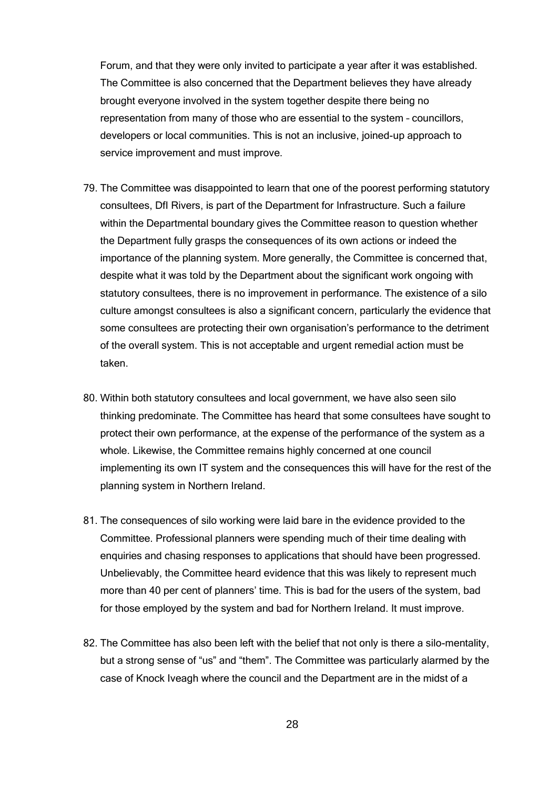Forum, and that they were only invited to participate a year after it was established. The Committee is also concerned that the Department believes they have already brought everyone involved in the system together despite there being no representation from many of those who are essential to the system – councillors, developers or local communities. This is not an inclusive, joined-up approach to service improvement and must improve.

- 79. The Committee was disappointed to learn that one of the poorest performing statutory consultees, DfI Rivers, is part of the Department for Infrastructure. Such a failure within the Departmental boundary gives the Committee reason to question whether the Department fully grasps the consequences of its own actions or indeed the importance of the planning system. More generally, the Committee is concerned that, despite what it was told by the Department about the significant work ongoing with statutory consultees, there is no improvement in performance. The existence of a silo culture amongst consultees is also a significant concern, particularly the evidence that some consultees are protecting their own organisation's performance to the detriment of the overall system. This is not acceptable and urgent remedial action must be taken.
- 80. Within both statutory consultees and local government, we have also seen silo thinking predominate. The Committee has heard that some consultees have sought to protect their own performance, at the expense of the performance of the system as a whole. Likewise, the Committee remains highly concerned at one council implementing its own IT system and the consequences this will have for the rest of the planning system in Northern Ireland.
- 81. The consequences of silo working were laid bare in the evidence provided to the Committee. Professional planners were spending much of their time dealing with enquiries and chasing responses to applications that should have been progressed. Unbelievably, the Committee heard evidence that this was likely to represent much more than 40 per cent of planners' time. This is bad for the users of the system, bad for those employed by the system and bad for Northern Ireland. It must improve.
- 82. The Committee has also been left with the belief that not only is there a silo-mentality, but a strong sense of "us" and "them". The Committee was particularly alarmed by the case of Knock Iveagh where the council and the Department are in the midst of a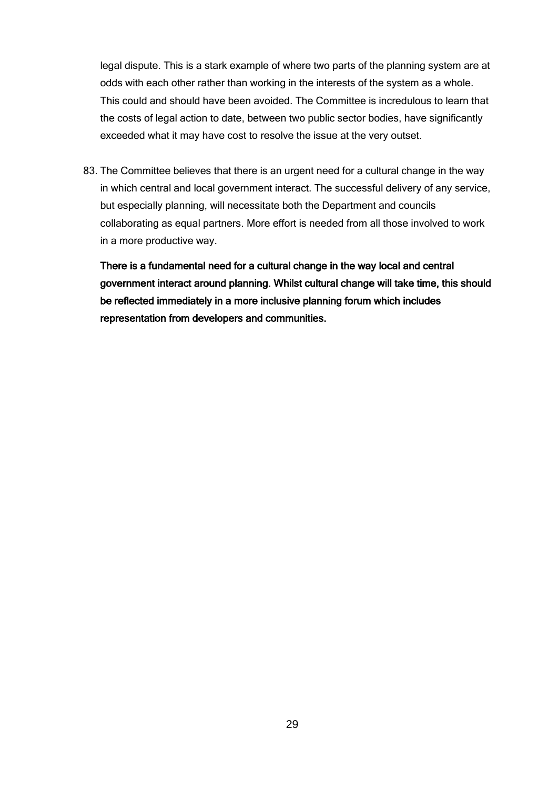legal dispute. This is a stark example of where two parts of the planning system are at odds with each other rather than working in the interests of the system as a whole. This could and should have been avoided. The Committee is incredulous to learn that the costs of legal action to date, between two public sector bodies, have significantly exceeded what it may have cost to resolve the issue at the very outset.

83. The Committee believes that there is an urgent need for a cultural change in the way in which central and local government interact. The successful delivery of any service, but especially planning, will necessitate both the Department and councils collaborating as equal partners. More effort is needed from all those involved to work in a more productive way.

There is a fundamental need for a cultural change in the way local and central government interact around planning. Whilst cultural change will take time, this should be reflected immediately in a more inclusive planning forum which includes representation from developers and communities.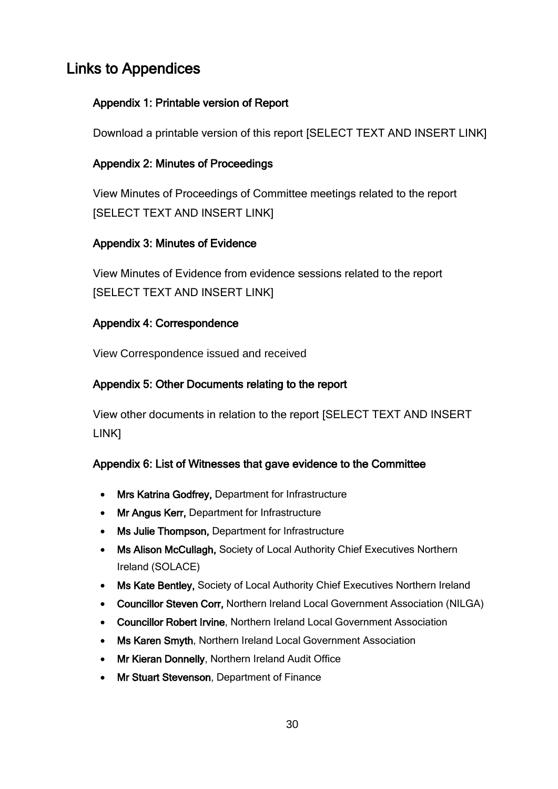# <span id="page-29-1"></span><span id="page-29-0"></span>Links to Appendices

## Appendix 1: Printable version of Report

Download a printable version of this report [SELECT TEXT AND INSERT LINK]

## <span id="page-29-2"></span>Appendix 2: Minutes of Proceedings

View Minutes of Proceedings of Committee meetings related to the report [SELECT TEXT AND INSERT LINK]

## <span id="page-29-3"></span>Appendix 3: Minutes of Evidence

View Minutes of Evidence from evidence sessions related to the report [SELECT TEXT AND INSERT LINK]

## <span id="page-29-4"></span>Appendix 4: Correspondence

View Correspondence issued and received

## <span id="page-29-5"></span>Appendix 5: Other Documents relating to the report

View other documents in relation to the report [SELECT TEXT AND INSERT LINK]

## <span id="page-29-6"></span>Appendix 6: List of Witnesses that gave evidence to the Committee

- Mrs Katrina Godfrey, Department for Infrastructure
- Mr Angus Kerr, Department for Infrastructure
- Ms Julie Thompson, Department for Infrastructure
- Ms Alison McCullagh, Society of Local Authority Chief Executives Northern Ireland (SOLACE)
- Ms Kate Bentley, Society of Local Authority Chief Executives Northern Ireland
- Councillor Steven Corr, Northern Ireland Local Government Association (NILGA)
- Councillor Robert Irvine, Northern Ireland Local Government Association
- Ms Karen Smyth, Northern Ireland Local Government Association
- Mr Kieran Donnelly, Northern Ireland Audit Office
- Mr Stuart Stevenson, Department of Finance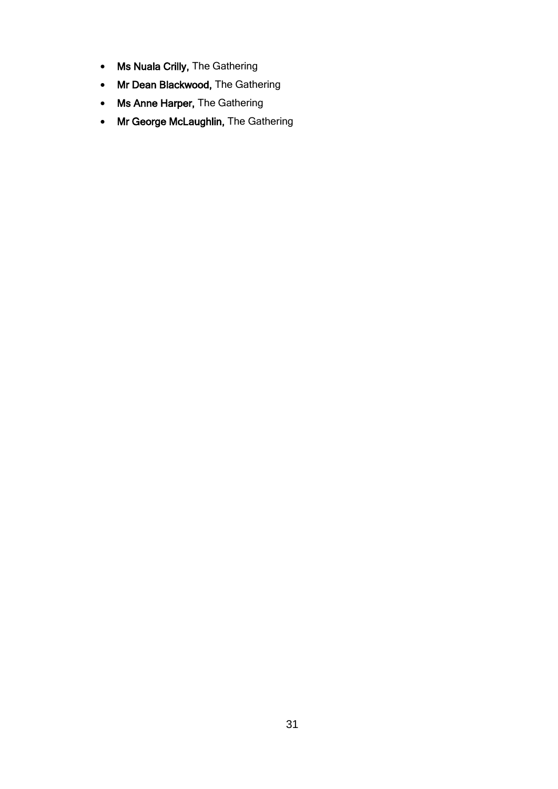- Ms Nuala Crilly, The Gathering
- Mr Dean Blackwood, The Gathering
- Ms Anne Harper, The Gathering
- Mr George McLaughlin, The Gathering